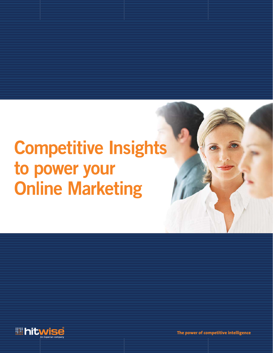# **Competitive Insights** to power your **Online Marketing**



**The power of competitive intelligence**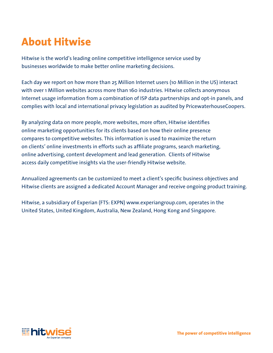# **About Hitwise**

Hitwise is the world's leading online competitive intelligence service used by businesses worldwide to make better online marketing decisions.

Each day we report on how more than 25 Million Internet users (10 Million in the US) interact with over 1 Million websites across more than 160 industries. Hitwise collects anonymous Internet usage information from a combination of ISP data partnerships and opt-in panels, and complies with local and international privacy legislation as audited by PricewaterhouseCoopers.

By analyzing data on more people, more websites, more often, Hitwise identifies online marketing opportunities for its clients based on how their online presence compares to competitive websites. This information is used to maximize the return on clients' online investments in efforts such as affiliate programs, search marketing, online advertising, content development and lead generation. Clients of Hitwise access daily competitive insights via the user-friendly Hitwise website.

Annualized agreements can be customized to meet a client's specific business objectives and Hitwise clients are assigned a dedicated Account Manager and receive ongoing product training.

Hitwise, a subsidiary of Experian (FTS: EXPN) www.experiangroup.com, operates in the United States, United Kingdom, Australia, New Zealand, Hong Kong and Singapore.

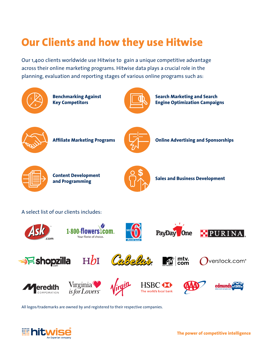# **Our Clients and how they use Hitwise**

Our 1,400 clients worldwide use Hitwise to gain a unique competitive advantage across their online marketing programs. Hitwise data plays a crucial role in the planning, evaluation and reporting stages of various online programs such as:



**Benchmarking Against Key Competitors**



**Search Marketing and Search Engine Optimization Campaigns**



**Affiliate Marketing Programs** 



**Online Advertising and Sponsorships**



**Content Development and Programming**



**Sales and Business Development**

# A select list of our clients includes:

























All logos/trademarks are owned by and registered to their respective companies.

 $HbI$ 

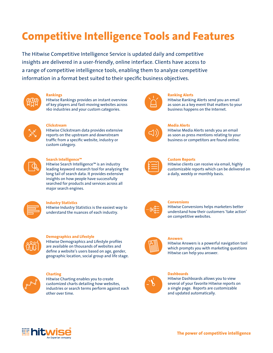# **Competitive Intelligence Tools and Features**

The Hitwise Competitive Intelligence Service is updated daily and competitive insights are delivered in a user-friendly, online interface. Clients have access to a range of competitive intelligence tools, enabling them to analyze competitive information in a format best suited to their specific business objectives.



#### **Rankings**

Hitwise Rankings provides an instant overview of key players and fast-moving websites across 160 industries and your custom categories.



# **Clickstream**

Hitwise Clickstream data provides extensive reports on the upstream and downstream traffic from a specific website, industry or custom category.



# **Search Intelligence™**

Hitwise Search Intelligence™ is an industry leading keyword research tool for analyzing the long tail of search data. It provides extensive insights on how people have successfully searched for products and services across all major search engines.



# **Industry Statistics**

Hitwise Industry Statistics is the easiest way to understand the nuances of each industry.



# **Demographics and Lifestyle**

Hitwise Demographics and Lifestyle profiles are available on thousands of websites and define a website's users based on age, gender, geographic location, social group and life stage.



# **Charting**

Hitwise Charting enables you to create customized charts detailing how websites, industries or search terms perform against each other over time.



# **Ranking Alerts**

Hitwise Ranking Alerts send you an email as soon as a key event that matters to your business happens on the Internet.



# **Media Alerts**

Hitwise Media Alerts sends you an email as soon as press mentions relating to your business or competitors are found online.



# **Custom Reports**

Hitwise clients can receive via email, highly customizable reports which can be delivered on a daily, weekly or monthly basis.



#### **Conversions**

Hitwise Conversions helps marketers better understand how their customers 'take action' on competitive websites.



# **Answers**

Hitwise Answers is a powerful navigation tool which prompts you with marketing questions Hitwise can help you answer.



# **Dashboards**

Hitwise Dashboards allows you to view several of your favorite Hitwise reports on a single page. Reports are customizable and updated automatically.

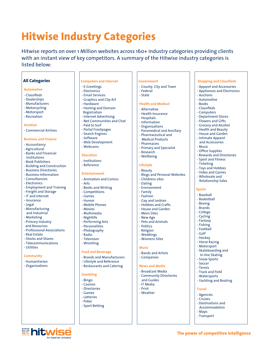# **Hitwise Industry Categories**

Hitwise reports on over 1 Million websites across 160+ industry categories providing clients with an instant view of key competitors. A summary of the Hitwise industry categories is listed below:

# **All Categories**

#### **Automotive**

- Classifieds
- Dealerships
- Manufacturers
- Motorcycling
- Motorsport
- Recreation

#### **Aviation**

- Commercial Airlines

#### **Business and Finance**

- Accountancy
- Agricultural
- Banks and Financial Institutions
- Book Publishers
- Building and Construction
- Business Directories
- Business Information
- Consultancies - Electronics
- Employment and Training
- Freight and Storage
- IT and Internet
- Insurance
- Legal
- Manufacturing
- and Industrial
- Marketing
- Primary Industry
- and Resources - Professional Associations
- Real Estate
- Stocks and Shares
- Telecommunications

**illication** 

- Utilities

#### **Community**

- Humanitarian
- Organizations

#### **Computers and Internet**

# - E-Greetings

- Electronics
- Email Services - Graphics and Clip Art
- Hardware
- Hosting and Domain
- Registration
- Internet Advertising
- Net Communities and Chat
- Paid to Surf
- Portal Frontpages
- Search Engines
- Software
- Web Development
- Webcams

#### **Education**

- Institutions
- Reference

#### **Entertainment**

- Animation and Comics
- Arts
- Books and Writing
- Competitions
- Games
- Humor
- Mobile Phones
- Movies
- Multimedia
- Nightlife
- Performing Arts
- Personalities - Photography
- Radio
- Television
- Wrestling

#### **Food and Beverage**

- Brands and Manufacturers
- Lifestyle and Reference
- Restaurants and Catering

#### **Gambling**

- Bingo
- Casinos
- Directories
- Games
- Lotteries
- Poker
- Sport Betting

### **Government**

 - County, City and Town - Federal

**Shopping and Classifieds**  - Apparel and Accessories - Appliances and Electronics

 - Auctions - Automotive - Books - Classifieds - Computers - Department Stores - Flowers and Gifts - Grocery and Alcohol - Health and Beauty - House and Garden - Intimate Apparel and Accessories

 - Music - Office Supplies - Rewards and Directories - Sport and Fitness - Ticketing - Toys and Hobbies - Video and Games - Wholesale and Relationship Sales

**Sports** - Baseball - Basketball - Boxing - Brands - College - Cycling - Fantasy - Fishing - Football - Golf - Hockey - Horse Racing - Motorsport - Skateboarding and In-line Skating - Snow Sports - Soccer - Tennis - Track and Field - Watersports - Yachting and Boating

 **Travel** - Agencies - Cruises - Destinations and Accommodation

 - Maps - Transport

**The power of competitive intelligence**

- State

#### **Health and Medical**

- Alternative
- Health Insurance
- Hospitals
- Information
- Organizations
- Paramedical and Ancillary
- Pharmaceutical and Medical Products
- Pharmacies
- Primary and Specialist
- Research

- Blogs and Personal Websites

- Wellbeing

 - Childrens sites - Dating - Environment - Family - Fashion - Gay and Lesbian - Hobbies and Crafts - House and Garden - Mens Sites - New Age - Pets and Animals - Politics - Religion - Weddings - Womens Sites

#### **Lifestyle** - Beauty

 **Music**

 - Bands and Artists - Companies  **News and Media** - Broadcast Media - Community Directories

 and Guides - IT Media - Print - Weather